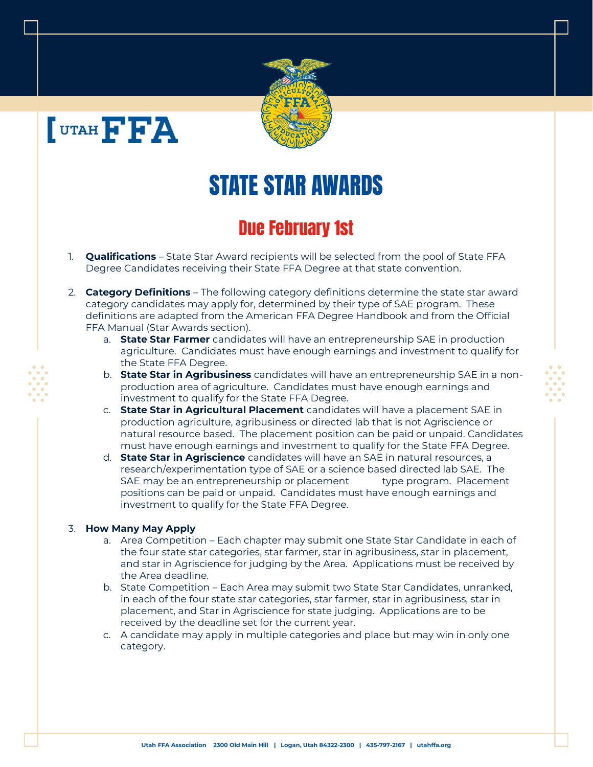



## STATE STAR AWARDS

## Due February 1st

- 1. **Qualifications** State Star Award recipients will be selected from the pool of State FFA Degree Candidates receiving their State FFA Degree at that state convention.
- 2. **Category Definitions** The following category definitions determine the state star award category candidates may apply for, determined by their type of SAE program. These definitions are adapted from the American FFA Degree Handbook and from the Official FFA Manual (Star Awards section).
	- a. **State Star Farmer** candidates will have an entrepreneurship SAE in production agriculture. Candidates must have enough earnings and investment to qualify for the State FFA Degree.
	- b. **State Star in Agribusiness** candidates will have an entrepreneurship SAE in a nonproduction area of agriculture. Candidates must have enough earnings and investment to qualify for the State FFA Degree.
	- c. **State Star in Agricultural Placement** candidates will have a placement SAE in production agriculture, agribusiness or directed lab that is not Agriscience or natural resource based. The placement position can be paid or unpaid. Candidates must have enough earnings and investment to qualify for the State FFA Degree.
	- d. **State Star in Agriscience** candidates will have an SAE in natural resources, a research/experimentation type of SAE or a science based directed lab SAE. The SAE may be an entrepreneurship or placement type program. Placement positions can be paid or unpaid. Candidates must have enough earnings and investment to qualify for the State FFA Degree.

## 3. **How Many May Apply**

- a. Area Competition Each chapter may submit one State Star Candidate in each of the four state star categories, star farmer, star in agribusiness, star in placement, and star in Agriscience for judging by the Area. Applications must be received by the Area deadline.
- b. State Competition Each Area may submit two State Star Candidates, unranked, in each of the four state star categories, star farmer, star in agribusiness, star in placement, and Star in Agriscience for state judging. Applications are to be received by the deadline set for the current year.
- c. A candidate may apply in multiple categories and place but may win in only one category.